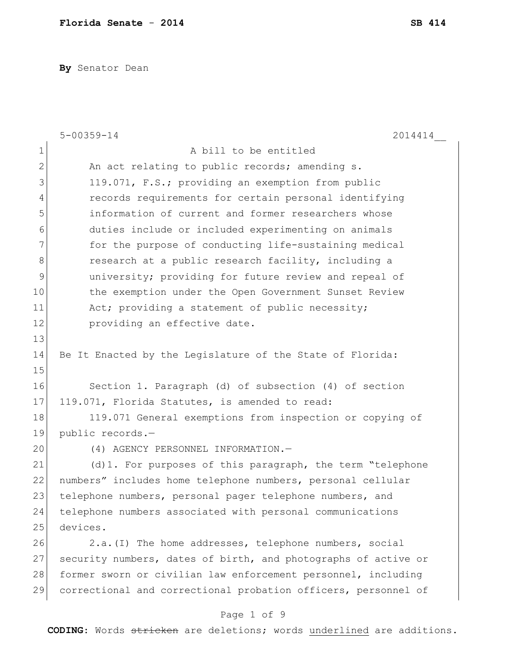**By** Senator Dean

|              | $5 - 00359 - 14$<br>2014414                                    |
|--------------|----------------------------------------------------------------|
| $\mathbf 1$  | A bill to be entitled                                          |
| $\mathbf{2}$ | An act relating to public records; amending s.                 |
| 3            | 119.071, F.S.; providing an exemption from public              |
| 4            | records requirements for certain personal identifying          |
| 5            | information of current and former researchers whose            |
| 6            | duties include or included experimenting on animals            |
| 7            | for the purpose of conducting life-sustaining medical          |
| 8            | research at a public research facility, including a            |
| 9            | university; providing for future review and repeal of          |
| 10           | the exemption under the Open Government Sunset Review          |
| 11           | Act; providing a statement of public necessity;                |
| 12           | providing an effective date.                                   |
| 13           |                                                                |
| 14           | Be It Enacted by the Legislature of the State of Florida:      |
| 15           |                                                                |
| 16           | Section 1. Paragraph (d) of subsection (4) of section          |
| 17           | 119.071, Florida Statutes, is amended to read:                 |
| 18           | 119.071 General exemptions from inspection or copying of       |
| 19           | public records.-                                               |
| 20           | (4) AGENCY PERSONNEL INFORMATION.-                             |
| 21           | (d)1. For purposes of this paragraph, the term "telephone      |
| 22           | numbers" includes home telephone numbers, personal cellular    |
| 23           | telephone numbers, personal pager telephone numbers, and       |
| 24           | telephone numbers associated with personal communications      |
| 25           | devices.                                                       |
| 26           | 2.a. (I) The home addresses, telephone numbers, social         |
| 27           | security numbers, dates of birth, and photographs of active or |
| 28           | former sworn or civilian law enforcement personnel, including  |
| 29           | correctional and correctional probation officers, personnel of |

# Page 1 of 9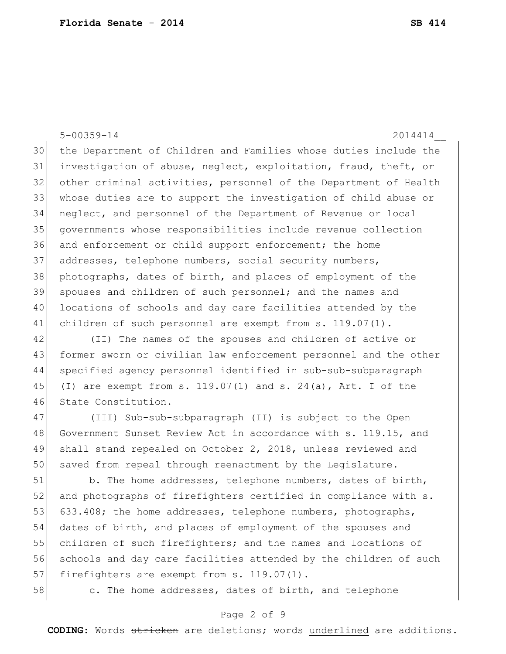5-00359-14 2014414\_\_ the Department of Children and Families whose duties include the investigation of abuse, neglect, exploitation, fraud, theft, or other criminal activities, personnel of the Department of Health whose duties are to support the investigation of child abuse or neglect, and personnel of the Department of Revenue or local governments whose responsibilities include revenue collection 36 and enforcement or child support enforcement; the home 37 addresses, telephone numbers, social security numbers, photographs, dates of birth, and places of employment of the spouses and children of such personnel; and the names and 40 locations of schools and day care facilities attended by the 41 children of such personnel are exempt from s. 119.07(1).

42 (II) The names of the spouses and children of active or 43 former sworn or civilian law enforcement personnel and the other 44 specified agency personnel identified in sub-sub-subparagraph 45 (I) are exempt from s. 119.07(1) and s. 24(a), Art. I of the 46 State Constitution.

47 (III) Sub-sub-subparagraph (II) is subject to the Open 48 Government Sunset Review Act in accordance with s. 119.15, and 49 shall stand repealed on October 2, 2018, unless reviewed and 50 saved from repeal through reenactment by the Legislature.

51 b. The home addresses, telephone numbers, dates of birth, 52 and photographs of firefighters certified in compliance with s. 53 633.408; the home addresses, telephone numbers, photographs, 54 dates of birth, and places of employment of the spouses and 55 children of such firefighters; and the names and locations of 56 schools and day care facilities attended by the children of such 57 firefighters are exempt from s. 119.07(1).

58 c. The home addresses, dates of birth, and telephone

## Page 2 of 9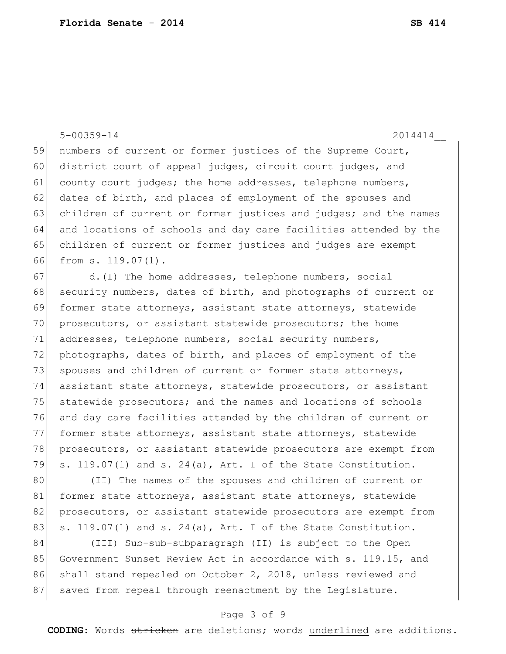5-00359-14 2014414\_\_ 59 numbers of current or former justices of the Supreme Court, 60 district court of appeal judges, circuit court judges, and 61 county court judges; the home addresses, telephone numbers, 62 dates of birth, and places of employment of the spouses and 63 children of current or former justices and judges; and the names 64 and locations of schools and day care facilities attended by the 65 children of current or former justices and judges are exempt 66 from s. 119.07(1). 67 d.(I) The home addresses, telephone numbers, social 68 security numbers, dates of birth, and photographs of current or 69 former state attorneys, assistant state attorneys, statewide 70 prosecutors, or assistant statewide prosecutors; the home 71 addresses, telephone numbers, social security numbers, 72 photographs, dates of birth, and places of employment of the 73 spouses and children of current or former state attorneys, 74 assistant state attorneys, statewide prosecutors, or assistant 75 statewide prosecutors; and the names and locations of schools 76 and day care facilities attended by the children of current or 77 former state attorneys, assistant state attorneys, statewide 78 prosecutors, or assistant statewide prosecutors are exempt from 79 s. 119.07(1) and s. 24(a), Art. I of the State Constitution. 80 (II) The names of the spouses and children of current or 81 former state attorneys, assistant state attorneys, statewide

82 prosecutors, or assistant statewide prosecutors are exempt from 83  $\vert$  s. 119.07(1) and s. 24(a), Art. I of the State Constitution.

84 (III) Sub-sub-subparagraph (II) is subject to the Open 85 Government Sunset Review Act in accordance with s. 119.15, and 86 shall stand repealed on October 2, 2018, unless reviewed and 87 saved from repeal through reenactment by the Legislature.

## Page 3 of 9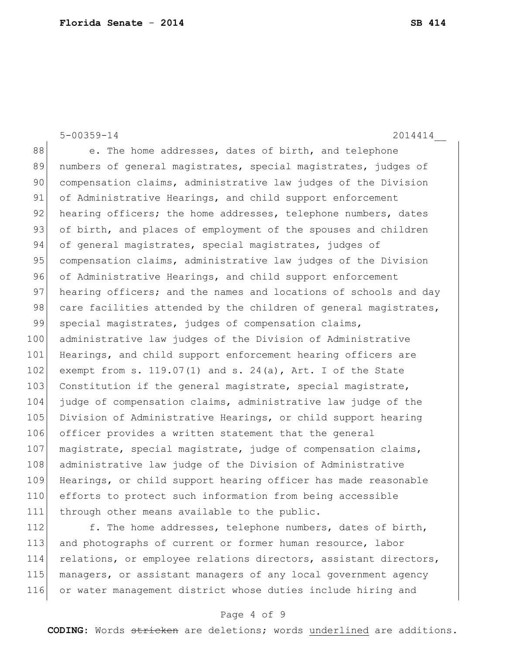5-00359-14 2014414\_\_ 88 e. The home addresses, dates of birth, and telephone 89 numbers of general magistrates, special magistrates, judges of 90 compensation claims, administrative law judges of the Division 91 of Administrative Hearings, and child support enforcement 92 hearing officers; the home addresses, telephone numbers, dates 93 of birth, and places of employment of the spouses and children 94 of general magistrates, special magistrates, judges of 95 compensation claims, administrative law judges of the Division 96 of Administrative Hearings, and child support enforcement 97 hearing officers; and the names and locations of schools and day 98 care facilities attended by the children of general magistrates, 99 special magistrates, judges of compensation claims, 100 administrative law judges of the Division of Administrative 101 Hearings, and child support enforcement hearing officers are 102 exempt from s. 119.07(1) and s. 24(a), Art. I of the State 103 Constitution if the general magistrate, special magistrate, 104 judge of compensation claims, administrative law judge of the 105 Division of Administrative Hearings, or child support hearing 106 officer provides a written statement that the general 107 magistrate, special magistrate, judge of compensation claims, 108 administrative law judge of the Division of Administrative 109 Hearings, or child support hearing officer has made reasonable 110 efforts to protect such information from being accessible 111 through other means available to the public. 112 f. The home addresses, telephone numbers, dates of birth,

 and photographs of current or former human resource, labor 114 relations, or employee relations directors, assistant directors, managers, or assistant managers of any local government agency or water management district whose duties include hiring and

## Page 4 of 9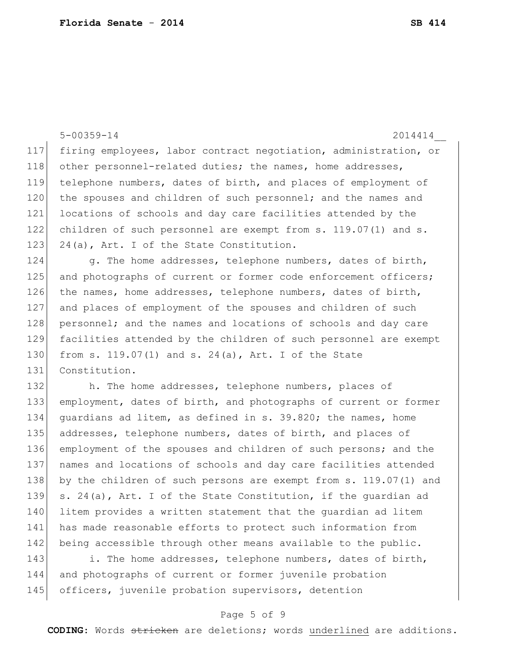|     | $5 - 00359 - 14$<br>2014414                                      |
|-----|------------------------------------------------------------------|
| 117 | firing employees, labor contract negotiation, administration, or |
| 118 | other personnel-related duties; the names, home addresses,       |
| 119 | telephone numbers, dates of birth, and places of employment of   |
| 120 | the spouses and children of such personnel; and the names and    |
| 121 | locations of schools and day care facilities attended by the     |
| 122 | children of such personnel are exempt from s. 119.07(1) and s.   |
| 123 | 24(a), Art. I of the State Constitution.                         |
| 124 | g. The home addresses, telephone numbers, dates of birth,        |
| 125 | and photographs of current or former code enforcement officers;  |
| 126 | the names, home addresses, telephone numbers, dates of birth,    |
| 127 | and places of employment of the spouses and children of such     |
| 128 | personnel; and the names and locations of schools and day care   |
| 129 | facilities attended by the children of such personnel are exempt |
| 130 | from s. $119.07(1)$ and s. $24(a)$ , Art. I of the State         |
| 131 | Constitution.                                                    |
| 132 | h. The home addresses, telephone numbers, places of              |
| 133 | employment, dates of birth, and photographs of current or former |
| 134 | guardians ad litem, as defined in s. 39.820; the names, home     |
| 135 | addresses, telephone numbers, dates of birth, and places of      |
| 136 | employment of the spouses and children of such persons; and the  |
| 137 | names and locations of schools and day care facilities attended  |
| 138 | by the children of such persons are exempt from s. 119.07(1) and |
| 139 | s. 24(a), Art. I of the State Constitution, if the guardian ad   |
| 140 | litem provides a written statement that the quardian ad litem    |
| 141 | has made reasonable efforts to protect such information from     |
| 142 | being accessible through other means available to the public.    |
|     |                                                                  |

143 i. The home addresses, telephone numbers, dates of birth, and photographs of current or former juvenile probation 145 officers, juvenile probation supervisors, detention

## Page 5 of 9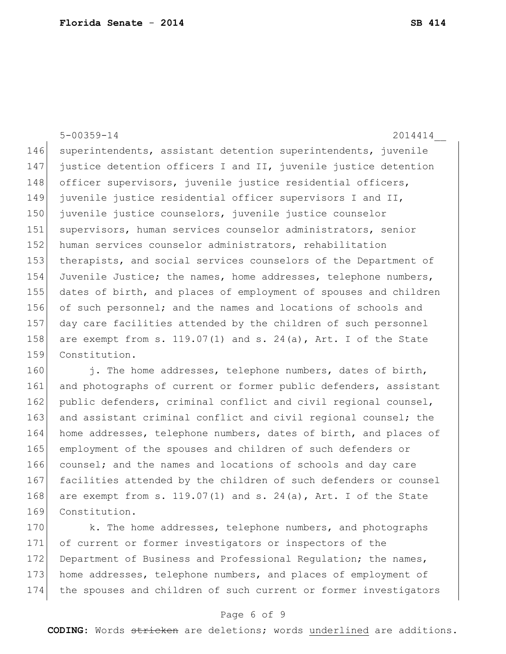|      | $5 - 00359 - 14$<br>2014414                                                                                                    |
|------|--------------------------------------------------------------------------------------------------------------------------------|
| 146  | superintendents, assistant detention superintendents, juvenile                                                                 |
| 147  | justice detention officers I and II, juvenile justice detention                                                                |
| 148  | officer supervisors, juvenile justice residential officers,                                                                    |
| 149  | juvenile justice residential officer supervisors I and II,                                                                     |
| 150  | juvenile justice counselors, juvenile justice counselor                                                                        |
| 151  | supervisors, human services counselor administrators, senior                                                                   |
| 152  | human services counselor administrators, rehabilitation                                                                        |
| 153  | therapists, and social services counselors of the Department of                                                                |
| 154  | Juvenile Justice; the names, home addresses, telephone numbers,                                                                |
| 155  | dates of birth, and places of employment of spouses and children                                                               |
| 156  | of such personnel; and the names and locations of schools and                                                                  |
| 157  | day care facilities attended by the children of such personnel                                                                 |
| 158  | are exempt from s. $119.07(1)$ and s. $24(a)$ , Art. I of the State                                                            |
| 159  | Constitution.                                                                                                                  |
| 160  | j. The home addresses, telephone numbers, dates of birth,                                                                      |
| 1.01 | $\mathbf{r}$ , and $\mathbf{r}$ , and $\mathbf{r}$ , and $\mathbf{r}$ , and $\mathbf{r}$ , and $\mathbf{r}$ , and $\mathbf{r}$ |

161 and photographs of current or former public defenders, assistant 162 public defenders, criminal conflict and civil regional counsel, 163 and assistant criminal conflict and civil regional counsel; the 164 home addresses, telephone numbers, dates of birth, and places of 165 employment of the spouses and children of such defenders or 166 counsel; and the names and locations of schools and day care 167 facilities attended by the children of such defenders or counsel 168 are exempt from s. 119.07(1) and s. 24(a), Art. I of the State 169 Constitution.

170 k. The home addresses, telephone numbers, and photographs 171 of current or former investigators or inspectors of the 172 Department of Business and Professional Requlation; the names, 173 home addresses, telephone numbers, and places of employment of 174 the spouses and children of such current or former investigators

## Page 6 of 9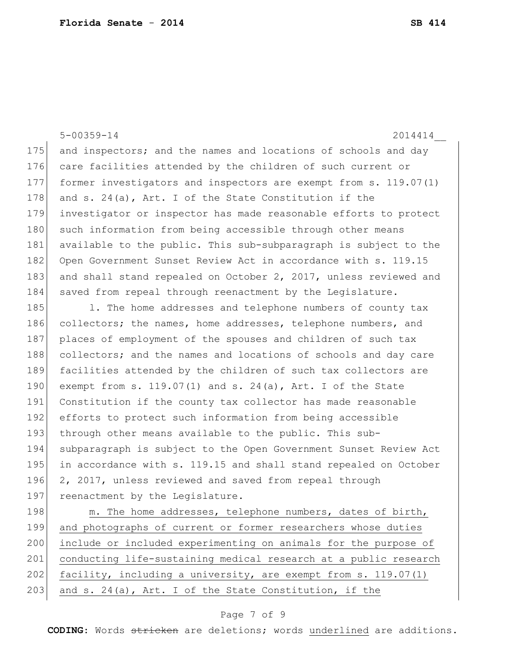5-00359-14 2014414\_\_ 175 and inspectors; and the names and locations of schools and day 176 care facilities attended by the children of such current or 177 former investigators and inspectors are exempt from s. 119.07(1) 178 and s. 24(a), Art. I of the State Constitution if the 179 investigator or inspector has made reasonable efforts to protect 180 such information from being accessible through other means 181 available to the public. This sub-subparagraph is subject to the 182 Open Government Sunset Review Act in accordance with s. 119.15 183 and shall stand repealed on October 2, 2017, unless reviewed and 184 saved from repeal through reenactment by the Legislature. 185 1. The home addresses and telephone numbers of county tax 186 collectors; the names, home addresses, telephone numbers, and 187 places of employment of the spouses and children of such tax 188 collectors; and the names and locations of schools and day care 189 facilities attended by the children of such tax collectors are 190 exempt from s. 119.07(1) and s. 24(a), Art. I of the State 191 Constitution if the county tax collector has made reasonable 192 efforts to protect such information from being accessible 193 through other means available to the public. This sub-194 subparagraph is subject to the Open Government Sunset Review Act 195 in accordance with s. 119.15 and shall stand repealed on October 196 2, 2017, unless reviewed and saved from repeal through 197 reenactment by the Legislature.

198 m. The home addresses, telephone numbers, dates of birth, 199 and photographs of current or former researchers whose duties 200 include or included experimenting on animals for the purpose of 201 conducting life-sustaining medical research at a public research 202 facility, including a university, are exempt from s. 119.07(1) 203 and s. 24(a), Art. I of the State Constitution, if the

## Page 7 of 9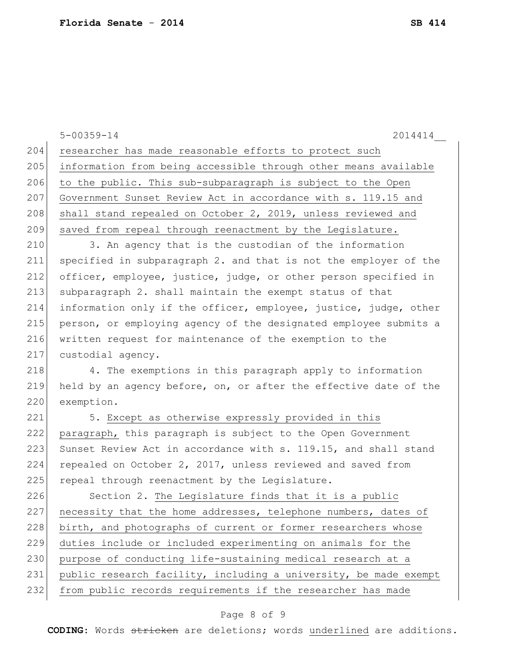5-00359-14 2014414\_\_ 204 researcher has made reasonable efforts to protect such 205 information from being accessible through other means available 206 to the public. This sub-subparagraph is subject to the Open 207 Government Sunset Review Act in accordance with s. 119.15 and 208 shall stand repealed on October 2, 2019, unless reviewed and 209 saved from repeal through reenactment by the Legislature. 210 3. An agency that is the custodian of the information 211 specified in subparagraph 2. and that is not the employer of the 212 officer, employee, justice, judge, or other person specified in 213 subparagraph 2. shall maintain the exempt status of that 214 information only if the officer, employee, justice, judge, other 215 person, or employing agency of the designated employee submits a 216 written request for maintenance of the exemption to the 217 custodial agency. 218 4. The exemptions in this paragraph apply to information 219 held by an agency before, on, or after the effective date of the 220 exemption. 221 5. Except as otherwise expressly provided in this 222 paragraph, this paragraph is subject to the Open Government 223 Sunset Review Act in accordance with s. 119.15, and shall stand 224 repealed on October 2, 2017, unless reviewed and saved from 225 repeal through reenactment by the Legislature. 226 Section 2. The Legislature finds that it is a public 227 necessity that the home addresses, telephone numbers, dates of 228 birth, and photographs of current or former researchers whose 229 duties include or included experimenting on animals for the 230 purpose of conducting life-sustaining medical research at a 231 public research facility, including a university, be made exempt 232 from public records requirements if the researcher has made

## Page 8 of 9